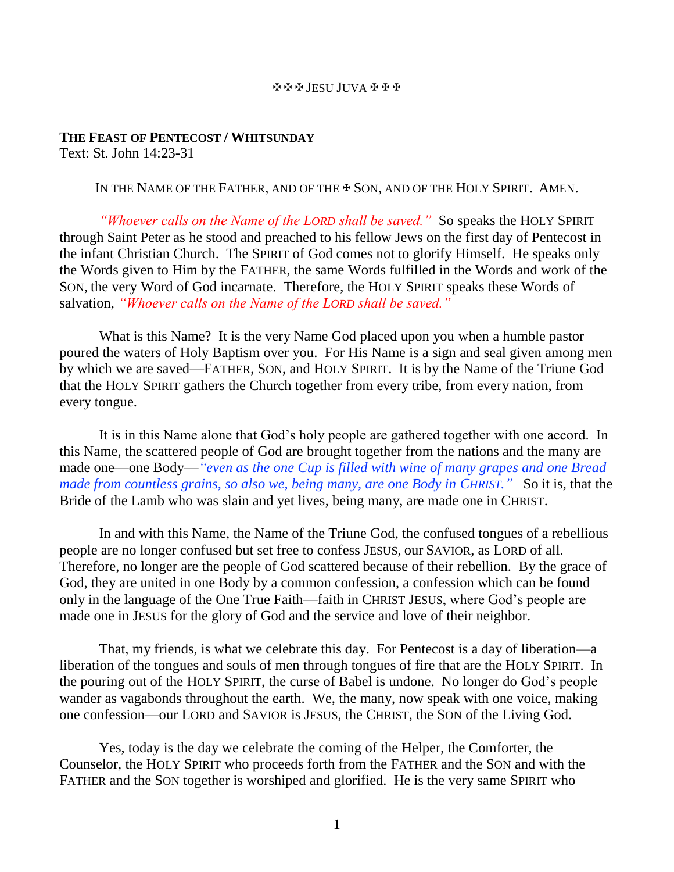## JESU JUVA

## **THE FEAST OF PENTECOST / WHITSUNDAY** Text: St. John 14:23-31

IN THE NAME OF THE FATHER, AND OF THE  $\clubsuit$  Son, and of the HOLY SPIRIT. AMEN.

*"Whoever calls on the Name of the LORD shall be saved."* So speaks the HOLY SPIRIT through Saint Peter as he stood and preached to his fellow Jews on the first day of Pentecost in the infant Christian Church. The SPIRIT of God comes not to glorify Himself. He speaks only the Words given to Him by the FATHER, the same Words fulfilled in the Words and work of the SON, the very Word of God incarnate. Therefore, the HOLY SPIRIT speaks these Words of salvation, *"Whoever calls on the Name of the LORD shall be saved."*

What is this Name? It is the very Name God placed upon you when a humble pastor poured the waters of Holy Baptism over you. For His Name is a sign and seal given among men by which we are saved—FATHER, SON, and HOLY SPIRIT. It is by the Name of the Triune God that the HOLY SPIRIT gathers the Church together from every tribe, from every nation, from every tongue.

It is in this Name alone that God's holy people are gathered together with one accord. In this Name, the scattered people of God are brought together from the nations and the many are made one—one Body—*"even as the one Cup is filled with wine of many grapes and one Bread made from countless grains, so also we, being many, are one Body in CHRIST."* So it is, that the Bride of the Lamb who was slain and yet lives, being many, are made one in CHRIST.

In and with this Name, the Name of the Triune God, the confused tongues of a rebellious people are no longer confused but set free to confess JESUS, our SAVIOR, as LORD of all. Therefore, no longer are the people of God scattered because of their rebellion. By the grace of God, they are united in one Body by a common confession, a confession which can be found only in the language of the One True Faith—faith in CHRIST JESUS, where God's people are made one in JESUS for the glory of God and the service and love of their neighbor.

That, my friends, is what we celebrate this day. For Pentecost is a day of liberation—a liberation of the tongues and souls of men through tongues of fire that are the HOLY SPIRIT. In the pouring out of the HOLY SPIRIT, the curse of Babel is undone. No longer do God's people wander as vagabonds throughout the earth. We, the many, now speak with one voice, making one confession—our LORD and SAVIOR is JESUS, the CHRIST, the SON of the Living God.

Yes, today is the day we celebrate the coming of the Helper, the Comforter, the Counselor, the HOLY SPIRIT who proceeds forth from the FATHER and the SON and with the FATHER and the SON together is worshiped and glorified. He is the very same SPIRIT who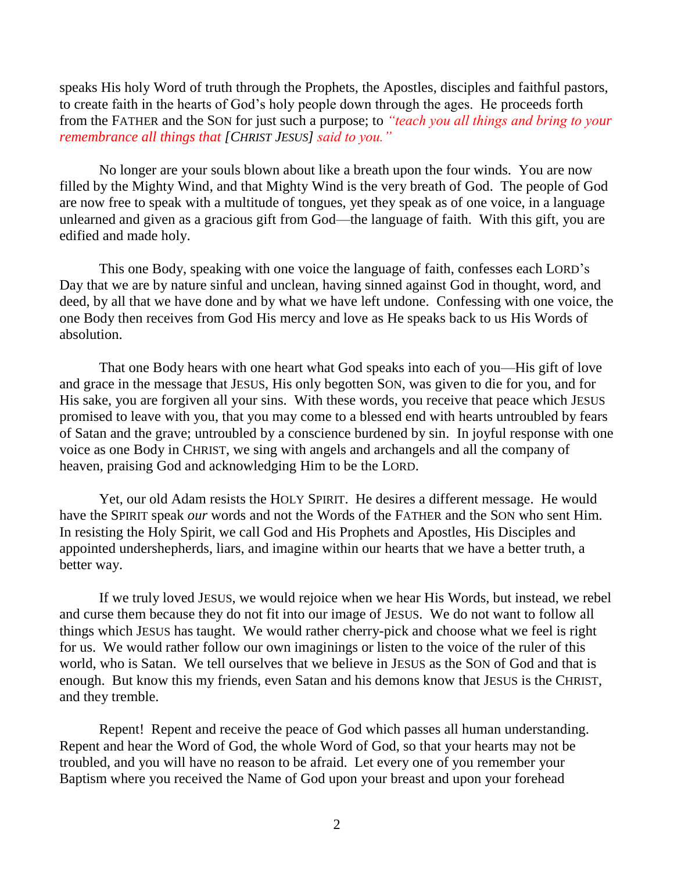speaks His holy Word of truth through the Prophets, the Apostles, disciples and faithful pastors, to create faith in the hearts of God's holy people down through the ages. He proceeds forth from the FATHER and the SON for just such a purpose; to *"teach you all things and bring to your remembrance all things that [CHRIST JESUS] said to you."*

No longer are your souls blown about like a breath upon the four winds. You are now filled by the Mighty Wind, and that Mighty Wind is the very breath of God. The people of God are now free to speak with a multitude of tongues, yet they speak as of one voice, in a language unlearned and given as a gracious gift from God—the language of faith. With this gift, you are edified and made holy.

This one Body, speaking with one voice the language of faith, confesses each LORD's Day that we are by nature sinful and unclean, having sinned against God in thought, word, and deed, by all that we have done and by what we have left undone. Confessing with one voice, the one Body then receives from God His mercy and love as He speaks back to us His Words of absolution.

That one Body hears with one heart what God speaks into each of you—His gift of love and grace in the message that JESUS, His only begotten SON, was given to die for you, and for His sake, you are forgiven all your sins. With these words, you receive that peace which JESUS promised to leave with you, that you may come to a blessed end with hearts untroubled by fears of Satan and the grave; untroubled by a conscience burdened by sin. In joyful response with one voice as one Body in CHRIST, we sing with angels and archangels and all the company of heaven, praising God and acknowledging Him to be the LORD.

Yet, our old Adam resists the HOLY SPIRIT. He desires a different message. He would have the SPIRIT speak *our* words and not the Words of the FATHER and the SON who sent Him. In resisting the Holy Spirit, we call God and His Prophets and Apostles, His Disciples and appointed undershepherds, liars, and imagine within our hearts that we have a better truth, a better way.

If we truly loved JESUS, we would rejoice when we hear His Words, but instead, we rebel and curse them because they do not fit into our image of JESUS. We do not want to follow all things which JESUS has taught. We would rather cherry-pick and choose what we feel is right for us. We would rather follow our own imaginings or listen to the voice of the ruler of this world, who is Satan. We tell ourselves that we believe in JESUS as the SON of God and that is enough. But know this my friends, even Satan and his demons know that JESUS is the CHRIST, and they tremble.

Repent! Repent and receive the peace of God which passes all human understanding. Repent and hear the Word of God, the whole Word of God, so that your hearts may not be troubled, and you will have no reason to be afraid. Let every one of you remember your Baptism where you received the Name of God upon your breast and upon your forehead